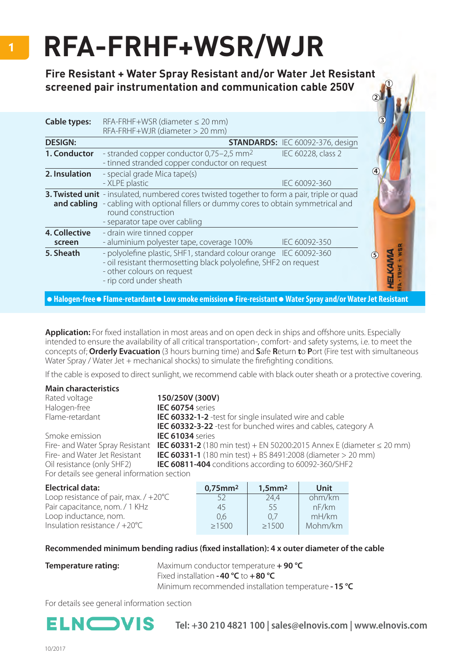## **RFA-FRHF+WSR/WJR**

**Fire Resistant + Water Spray Resistant and/or Water Jet Resistant screened pair instrumentation and communication cable 250V**

| <b>Cable types:</b>            | $RFA-FRHF+WSR$ (diameter $\leq$ 20 mm)<br>RFA-FRHF+WJR (diameter > 20 mm)                                                                                                                                                                                |                                         |
|--------------------------------|----------------------------------------------------------------------------------------------------------------------------------------------------------------------------------------------------------------------------------------------------------|-----------------------------------------|
| <b>DESIGN:</b>                 |                                                                                                                                                                                                                                                          | <b>STANDARDS: IEC 60092-376, design</b> |
| 1. Conductor                   | - stranded copper conductor 0,75-2,5 mm <sup>2</sup><br>- tinned stranded copper conductor on request                                                                                                                                                    | IEC 60228, class 2                      |
| 2. Insulation                  | - special grade Mica tape(s)<br>- XLPE plastic                                                                                                                                                                                                           | 4<br>IEC 60092-360                      |
|                                | <b>3. Twisted unit</b> - insulated, numbered cores twisted together to form a pair, triple or quad<br><b>and cabling</b> - cabling with optional fillers or dummy cores to obtain symmetrical and<br>round construction<br>- separator tape over cabling |                                         |
| <b>4. Collective</b><br>screen | - drain wire tinned copper<br>- aluminium polyester tape, coverage 100%                                                                                                                                                                                  | IEC 60092-350                           |
| 5. Sheath                      | - polyolefine plastic, SHF1, standard colour orange IEC 60092-360<br>- oil resistant thermosetting black polyolefine, SHF2 on request<br>- other colours on request<br>- rip cord under sheath                                                           |                                         |

**Halogen-free Flame-retardant Low smoke emission Fire-resistant Water Spray and/or Water Jet Resistant**

**Application:** For fixed installation in most areas and on open deck in ships and offshore units. Especially intended to ensure the availability of all critical transportation-, comfort- and safety systems, i.e. to meet the concepts of; **Orderly Evacuation** (3 hours burning time) and **S**afe **R**eturn **t**o **P**ort (Fire test with simultaneous Water Spray / Water Jet  $+$  mechanical shocks) to simulate the firefighting conditions.

If the cable is exposed to direct sunlight, we recommend cable with black outer sheath or a protective covering.

| <b>Main characteristics</b>                 |                                                                            |
|---------------------------------------------|----------------------------------------------------------------------------|
| Rated voltage                               | 150/250V (300V)                                                            |
| Halogen-free                                | IEC 60754 series                                                           |
| Flame-retardant                             | <b>IEC 60332-1-2</b> -test for single insulated wire and cable             |
|                                             | <b>IEC 60332-3-22</b> -test for bunched wires and cables, category A       |
| Smoke emission                              | IEC 61034 series                                                           |
| Fire- and Water Spray Resistant             | IEC 60331-2 (180 min test) + EN 50200:2015 Annex E (diameter $\leq$ 20 mm) |
| Fire- and Water Jet Resistant               | <b>IEC 60331-1</b> (180 min test) + BS 8491:2008 (diameter > 20 mm)        |
| Oil resistance (only SHF2)                  | IEC 60811-404 conditions according to 60092-360/SHF2                       |
| For details see general information section |                                                                            |
|                                             |                                                                            |

| <b>Electrical data:</b>                        | $0,75$ mm <sup>2</sup> | $1,5$ mm $2$ | Unit    |
|------------------------------------------------|------------------------|--------------|---------|
| Loop resistance of pair, max. $/ +20^{\circ}C$ | 52                     | 24.4         | ohm/km  |
| Pair capacitance, nom. / 1 KHz                 | 45                     | 55           | nF/km   |
| Loop inductance, nom.                          | 0.6                    | 0.7          | mH/km   |
| Insulation resistance $/ +20^{\circ}$ C        | >1500                  | $\geq 1500$  | Mohm/km |

## Recommended minimum bending radius (fixed installation): 4 x outer diameter of the cable

**Temperature rating:** Maximum conductor temperature **+ 90 °C**  Fixed installation **- 40 °C** to **+80 °C** Minimum recommended installation temperature **- 15 °C**

For details see general information section



**Tel: +30 210 4821 100 | sales@elnovis.com | www.elnovis.com**

FRHF + W5 **IELKAMA**